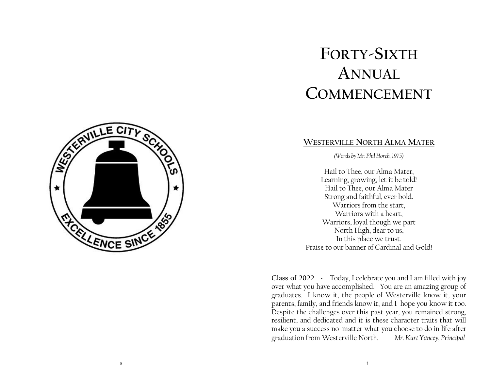# **FORTY-SIXTH ANNUAL COMMENCEMENT**

### **WESTERVILLE NORTH ALMA MATER**

*(Words by Mr. Phil Horch, 1975)*

Hail to Thee, our Alma Mater, Learning, growing, let it be told! Hail to Thee, our Alma Mater Strong and faithful, ever bold. Warriors from the start, Warriors with a heart, Warriors, loyal though we part North High, dear to us, In this place we trust. Praise to our banner of Cardinal and Gold!

**Class of 2022 -** Today, I celebrate you and I am filled with joy over what you have accomplished. You are an amazing group of graduates. I know it, the people of Westerville know it, your parents, family, and friends know it, and I hope you know it too. Despite the challenges over this past year, you remained strong, resilient, and dedicated and it is these character traits that will make you a success no matter what you choose to do in life after graduation from Westerville North. *Mr. Kurt Yancey, Principal*

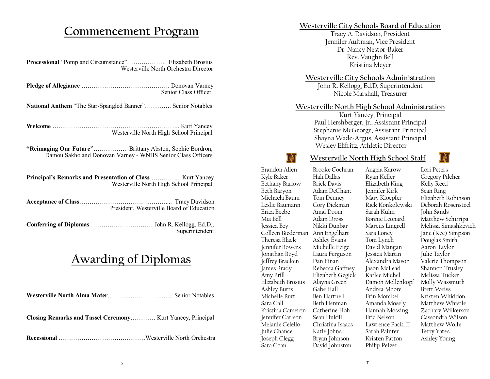## **Commencement Program**

| Westerville North Orchestra Director                                                                                   |  |  |
|------------------------------------------------------------------------------------------------------------------------|--|--|
| Senior Class Officer                                                                                                   |  |  |
| National Anthem "The Star-Spangled Banner" Senior Notables                                                             |  |  |
| Westerville North High School Principal                                                                                |  |  |
| "Reimaging Our Future" Brittany Abston, Sophie Bordron,<br>Damou Sakho and Donovan Varney - WNHS Senior Class Officers |  |  |
| Principal's Remarks and Presentation of Class  Kurt Yancey<br>Westerville North High School Principal                  |  |  |
| President, Westerville Board of Education                                                                              |  |  |
|                                                                                                                        |  |  |

# **Awarding of Diplomas**

Superintendent

| Closing Remarks and Tassel Ceremony Kurt Yancey, Principal |  |
|------------------------------------------------------------|--|
|                                                            |  |

#### **Westerville City Schools Board of Education**

Tracy A. Davidson, President Jennifer Aultman, Vice President Dr. Nancy Nestor-Baker Rev. Vaughn Bell Kristina Meyer

#### **Westerville City Schools Administration**

John R. Kellogg, Ed.D, Superintendent Nicole Marshall, Treasurer

#### **Westerville North High School Administration**

Kurt Yancey, Principal Paul Hershberger, Jr., Assistant Principal Stephanie McGeorge, Assistant Principal Shayna Wade-Argus, Assistant Principal Wesley Elifritz, Athletic Director



#### **Westerville North High School Staff**

Brandon Allen Kyle Baker Bethany Barlow Beth Baryon Michaela Baum Leslie Baumann Erica Beebe Mia Bell Jessica Bey Colleen Biederman Theresa Black Jennifer Bowers Jonathan Boyd Jeffrey Bracken James Brady Amy Brill Elizabeth Brosius Ashley Burrs Michelle Burt Sara Call Kristina Cameron Jennifer Carlson Melanie Celello Julie Chance Joseph Clegg Sara Coan

Brooke Cochran Hali Dallas Brick Davis Adam DeChant Tom Denney Cory Dickman Amal Doom Adam Dross Nikki Dunbar Ann Engelhart Ashley Evans Michelle Feige Laura Ferguson Dan Finan Rebecca Gaffney Elizabeth Gegick Alayna Green Gabe Hall Ben Hartnell Beth Henman Catherine Hoh Sean Hukill Christina Isaacs Katie Johns Bryan Johnson David Johnston

Angela Karow Ryan Keller Elizabeth King Jennifer Kirk Mary Kloepfer Rick Konkolewski Sarah Kuhn Bonnie Leonard Marcus Lingrell Sara Loney Tom Lynch David Mangan Jessica Martin Alexandra Mason Jason McLead Karlee Michel Damon Mollenkopf Andrea Moore Erin Morckel Amanda Mosely Hannah Mossing Eric Nelson Lawrence Pack, II Sarah Painter Kristen Patton Philip Pelzer

Lori Peters Gregory Pilcher Kelly Reed Sean Ring Elizabeth Robinson Deborah Rosensteel John Sands Matthew Schirripa Melissa Simashkevich Jane (Ree) Simpson Douglas Smith Aaron Taylor Julie Taylor Valerie Thompson Shannon Trusley Melissa Tucker Molly Wassmuth Brett Weiss Kristen Whiddon Matthew Whistle Zachary Wilkerson Cassondra Wilson Matthew Wolfe Terry Yates Ashley Young

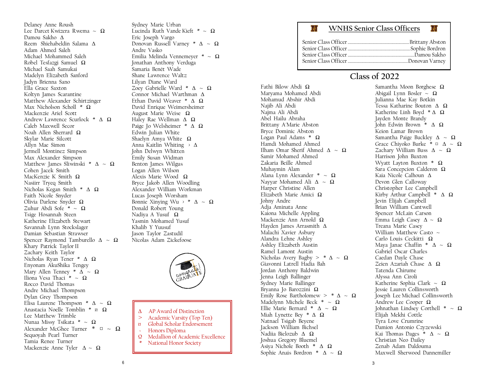Delaney Anne Roush Lee Darcet Kwizera Rwema ~ Ω Damou Sakho Δ Reem Shiehabeldin Salama Δ Adam Ahmed Saleh Michael Mohammed Saleh Robel Tesfazgi Samuel Ω Michael Saah Samukai Madelyn Elizabeth Sanford Jadyn Brienna Sano Ella Grace Saxton Koltyn James Scarantine Matthew Alexander Schirtzinger Max Nicholson Scholl \* Ω Mackenzie Ariel Scott Andrew Lawrence Scurlock \* Δ Ω Caleb Maxwell Secor Noah Allen Sherrard Ω Skylar Marie Silcott Allyn Mae Simon Jermell Montinez Simpson Max Alexander Simpson Matthew James Sliwinski \*  $\Delta \sim \Omega$ Cohen Jacek Smith MacKenzie K Smith Ω Nasiirr Tryeq Smith Nicholas Kegan Smith \* Δ Ω Faith Nicole Snyder Olivia Darlene Snyder Ω Zuhur Abdi Sofe \* ~  $\Omega$ Tsige Hosannah Steen Katherine Elizabeth Stewart Savannah Lynn Stockslager Damian Sebastian Strawser Spencer Raymond Tamburello  $\Delta \sim \Omega$ Khary Patrick Taylor II Zachary Keith Taylor Nicholas Ryan Tener \* Δ Ω Enyonam AkuShika Tengey Mary Allen Tenney \*  $\overrightarrow{\Delta} \sim \Omega$ Iliona Vesa Thaci  $* \sim \Omega$ Rocco David Thomas Andre Michael Thompson Dylan Grey Thompson Elisa Laurene Thompson \*  $\Delta \sim \Omega$ Anastacia Noelle Tomblin \* ¤ Ω Lee Matthew Trimble Nunaa Missy Tsikata \* ~ Ω Alexander McGhee Turner  $* \alpha \sim \Omega$ Sequoyah Pearl Turner Tamia Renee Turner Mackenzie Anne Tyler Δ ~ Ω

Sydney Marie Urban Lucinda Ruth Vande Kieft  $* \sim \Omega$ Eric Joseph Vargo Donovan Russell Varney \*  $\Delta \sim \Omega$ Andre Vasko Emilia Melinda Vennemeyer \* ~ Ω Jonathan Anthony Verduga Samaria Benét Wade Shane Lawrence Waltz Lilyan Diane Ward Zoey Gabrielle Ward \*  $\Delta \sim \Omega$ Connor Michael Warthman Δ Ethan David Weaver \* Δ Ω David Enrique Weimersheimer August Marie Weise Ω Haley Rae Wellman Δ Ω Paige Jo Welsheimer \* Δ Ω Edwin Julian White Shaelyn Amya White Ω Anna Kaitlin Whiting > Δ John Delwyn Whitten Emily Susan Widman Benton James Wilgus Logan Allen Wilson Alexis Marie Wood Ω Bryce Jakob Allen Woodling Alexander William Workman Lucas Joseph Worsham Bonnie Xinying Wu  $\rightarrow$  \*  $\Delta \sim \Omega$ Donald Robert Young Nadiya A Yusuf Ω Yasmin Mohamed Yusuf Khalib Y Yuusuf Jason Taylor Zastudil Nicolas Adam Zickefoose



- Δ AP Award of Distinction
- > Academic Varsity (Top Ten)
- Global Scholar Endorsement
- ~ Honors Diploma
- Ω Medallion of Academic Excellence
	- National Honor Society

#### **WNHS Senior Class Officers**

### **Class of 2022**

Fathi Bilow Abdi Ω Maryama Mohamed Abdi Mohamud Abshir Abdi Najib Ali Abdi Najma Ali Abdi Abel Hailu Abraha Brittany A'Marie Abston Bryce Dominic Abston Logan Paul Adams \* Ω Hamdi Mohamed Ahmed Ilham Omar Sherif Ahmed  $\Lambda \sim \Omega$ Samir Mohamed Ahmed Zakaria Beille Ahmed Muhaymin Alam Alana Lynn Alexander \*  $\sim \Omega$ Nayyar Mohamed Ali  $\Delta \sim \Omega$ Harper Christine Allen Elizabeth Marie Amici Ω Johny Andre Adja Aminata Anne Kaiona Michelle Appling Mackenzie Ann Arnold Ω Hayden James Arrasmith Δ Malachi Xavier Asbury Alandra Lehne Ashley Ashley Elizabeth Austin Ramel Lamont Austin Nicholas Avery Bagby  $>$  \*  $\Delta \sim \Omega$ Giavonni Latrell Hadia Bah Jordan Anthony Baldwin Jenna Leigh Ballinger Sydney Marie Ballinger Bryanna Jo Barozzini Ω Emily Rose Bartholomew >  $*\Delta \sim \Omega$ Madelynn Michele Beck  $* \sim \Omega$ Ellie Marie Bernard \*  $\Delta \sim \Omega$ Miah Lynette Bey  $* \Delta \Omega$ Natnael Tsigab Beyene Jackson William Bichsel Nadiia Bielozub Δ Ω Joshua Gregory Bluemel Asiya Nichole Booth \* Δ Ω Sophie Anais Bordron \*  $\Delta \sim \Omega$ 

囒

Samantha Moon Borghese Ω Abigail Lynn Bosler  $\sim \Omega$ Julianna Mae Kay Botkin Tessa Katharine Bouton Δ Ω Katherine Linh Boyd  $*\Delta \Omega$ Jayden Monte Brandy John Edwin Brown \* Δ Ω Keion Lamar Brown Samantha Paige Buckley  $\Delta \sim \Omega$ Grace Chivoko Burke \*  $\alpha$   $\Delta \sim \Omega$ Zachary William Buss  $\Delta \sim \Omega$ Harrison John Buxton Wyatt Layton Buxton \* Ω Sara Concepcion Calderon Ω Kaia Nicole Calhoun Δ Devon Glen Calloway Christopher Lee Campbell Kirby Arthur Campbell  $* \Delta \Omega$ Jevin Elijah Campbell Brian William Cantwell Spencer McLain Carson Emma Leigh Casey  $Δ ~ √ Ω$ Treana Marie Casey William Matthew Casto  $\sim$ Carlo Louis Ceckitti Ω Maya Janae Chaffin \*  $\Delta \sim \Omega$ Gabriel Oscar Charles Caedan Dayle Chase Zeien Azariah Chase Δ Ω Tatenda Chirume Alyssa Ann Ciroli Katherine Sophia Clark ~ Ω Jessie Lauren Collinsworth Joseph Lee Michael Collinsworth Andrew Lee Cooper Ω Johnathan Lindsey Corthell  $* \sim \Omega$ Elijah Mekhi Cottle Tyra Love Crumrine Damion Antonio Czyzewski Kai Thomas Dages  $* \Delta \sim \Omega$ Christian Neo Dailey Zenab Adam Daldouma Maxwell Sherwood Dannemiller

囒